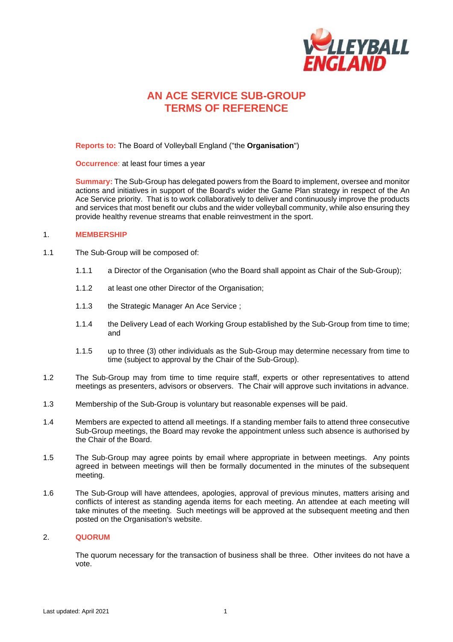

# **AN ACE SERVICE SUB-GROUP TERMS OF REFERENCE**

**Reports to:** The Board of Volleyball England ("the **Organisation**")

**Occurrence**: at least four times a year

**Summary:** The Sub-Group has delegated powers from the Board to implement, oversee and monitor actions and initiatives in support of the Board's wider the Game Plan strategy in respect of the An Ace Service priority. That is to work collaboratively to deliver and continuously improve the products and services that most benefit our clubs and the wider volleyball community, while also ensuring they provide healthy revenue streams that enable reinvestment in the sport.

### 1. **MEMBERSHIP**

- 1.1 The Sub-Group will be composed of:
	- 1.1.1 a Director of the Organisation (who the Board shall appoint as Chair of the Sub-Group);
	- 1.1.2 at least one other Director of the Organisation;
	- 1.1.3 the Strategic Manager An Ace Service ;
	- 1.1.4 the Delivery Lead of each Working Group established by the Sub-Group from time to time; and
	- 1.1.5 up to three (3) other individuals as the Sub-Group may determine necessary from time to time (subject to approval by the Chair of the Sub-Group).
- 1.2 The Sub-Group may from time to time require staff, experts or other representatives to attend meetings as presenters, advisors or observers. The Chair will approve such invitations in advance.
- 1.3 Membership of the Sub-Group is voluntary but reasonable expenses will be paid.
- 1.4 Members are expected to attend all meetings. If a standing member fails to attend three consecutive Sub-Group meetings, the Board may revoke the appointment unless such absence is authorised by the Chair of the Board.
- 1.5 The Sub-Group may agree points by email where appropriate in between meetings. Any points agreed in between meetings will then be formally documented in the minutes of the subsequent meeting.
- 1.6 The Sub-Group will have attendees, apologies, approval of previous minutes, matters arising and conflicts of interest as standing agenda items for each meeting. An attendee at each meeting will take minutes of the meeting. Such meetings will be approved at the subsequent meeting and then posted on the Organisation's website.

#### 2. **QUORUM**

The quorum necessary for the transaction of business shall be three. Other invitees do not have a vote.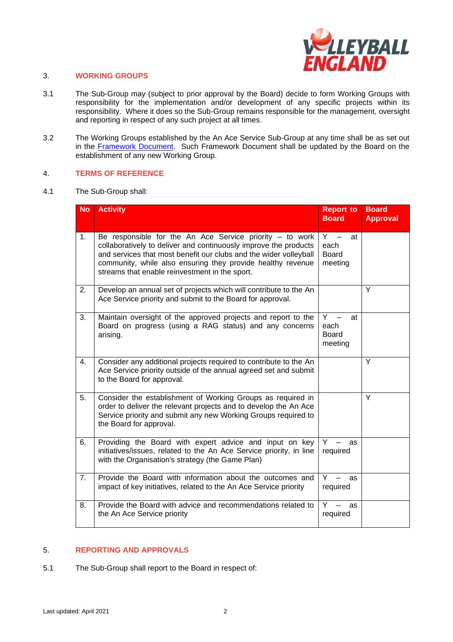

# 3. **WORKING GROUPS**

- 3.1 The Sub-Group may (subject to prior approval by the Board) decide to form Working Groups with responsibility for the implementation and/or development of any specific projects within its responsibility. Where it does so the Sub-Group remains responsible for the management, oversight and reporting in respect of any such project at all times.
- 3.2 The Working Groups established by the An Ace Service Sub-Group at any time shall be as set out in the [Framework Document.](https://www.volleyballengland.org/about_us/about_us_/governance) Such Framework Document shall be updated by the Board on the establishment of any new Working Group.

### 4. **TERMS OF REFERENCE**

4.1 The Sub-Group shall:

| <b>No</b> | <b>Activity</b>                                                                                                                                                                                                                                                                                                      | <b>Report to</b><br><b>Board</b>               | <b>Board</b><br><b>Approval</b> |
|-----------|----------------------------------------------------------------------------------------------------------------------------------------------------------------------------------------------------------------------------------------------------------------------------------------------------------------------|------------------------------------------------|---------------------------------|
| 1.        | Be responsible for the An Ace Service priority $-$ to work<br>collaboratively to deliver and continuously improve the products<br>and services that most benefit our clubs and the wider volleyball<br>community, while also ensuring they provide healthy revenue<br>streams that enable reinvestment in the sport. | $Y -$<br>at<br>each<br><b>Board</b><br>meeting |                                 |
| 2.        | Develop an annual set of projects which will contribute to the An<br>Ace Service priority and submit to the Board for approval.                                                                                                                                                                                      |                                                | Y                               |
| 3.        | Maintain oversight of the approved projects and report to the<br>Board on progress (using a RAG status) and any concerns<br>arising.                                                                                                                                                                                 | Y<br>at<br>each<br><b>Board</b><br>meeting     |                                 |
| 4.        | Consider any additional projects required to contribute to the An<br>Ace Service priority outside of the annual agreed set and submit<br>to the Board for approval.                                                                                                                                                  |                                                | Y                               |
| 5.        | Consider the establishment of Working Groups as required in<br>order to deliver the relevant projects and to develop the An Ace<br>Service priority and submit any new Working Groups required to<br>the Board for approval.                                                                                         |                                                | Y                               |
| 6.        | Providing the Board with expert advice and input on key<br>initiatives/issues, related to the An Ace Service priority, in line<br>with the Organisation's strategy (the Game Plan)                                                                                                                                   | Y.<br>as<br>required                           |                                 |
| 7.        | Provide the Board with information about the outcomes and<br>impact of key initiatives, related to the An Ace Service priority                                                                                                                                                                                       | Y.<br>as<br>required                           |                                 |
| 8.        | Provide the Board with advice and recommendations related to<br>the An Ace Service priority                                                                                                                                                                                                                          | Υ<br>as<br>required                            |                                 |

# 5. **REPORTING AND APPROVALS**

5.1 The Sub-Group shall report to the Board in respect of: